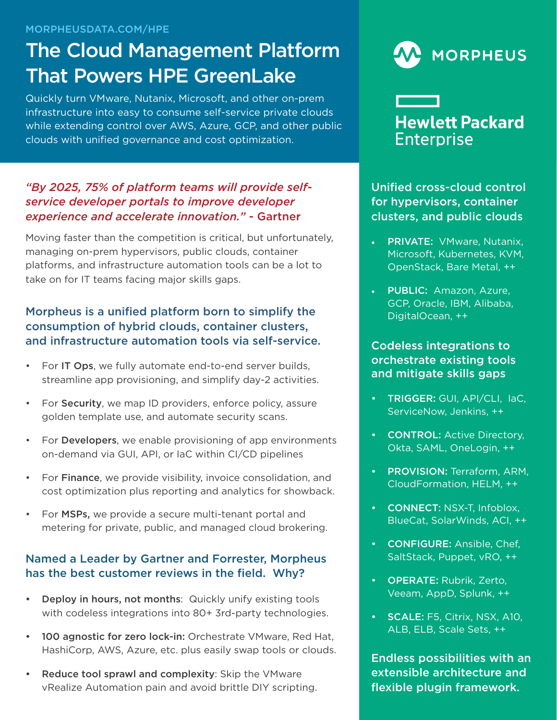#### MORPHEUSDATA.COM/HPE

# The Cloud Management Platform That Powers HPE GreenLake

Quickly turn VMware, Nutanix, Microsoft, and other on-prem infrastructure into easy to consume self-service private clouds while extending control over AWS, Azure, GCP, and other public clouds with unified governance and cost optimization.

### *"By 2025, 75% of platform teams will provide selfservice developer portals to improve developer experience and accelerate innovation."* - Gartner

Moving faster than the competition is critical, but unfortunately, managing on-prem hypervisors, public clouds, container platforms, and infrastructure automation tools can be a lot to take on for IT teams facing major skills gaps.

# Morpheus is a unified platform born to simplify the consumption of hybrid clouds, container clusters, and infrastructure automation tools via self-service.

- For IT Ops, we fully automate end-to-end server builds, streamline app provisioning, and simplify day-2 activities.
- For Security, we map ID providers, enforce policy, assure golden template use, and automate security scans.
- For Developers, we enable provisioning of app environments on-demand via GUI, API, or IaC within CI/CD pipelines
- For Finance, we provide visibility, invoice consolidation, and cost optimization plus reporting and analytics for showback.
- For MSPs, we provide a secure multi-tenant portal and metering for private, public, and managed cloud brokering.

### Named a Leader by Gartner and Forrester, Morpheus has the best customer reviews in the field. Why?

- Deploy in hours, not months: Quickly unify existing tools with codeless integrations into 80+ 3rd-party technologies.
- 100 agnostic for zero lock-in: Orchestrate VMware, Red Hat, HashiCorp, AWS, Azure, etc. plus easily swap tools or clouds.
- Reduce tool sprawl and complexity: Skip the VMware vRealize Automation pain and avoid brittle DIY scripting.





**Enterprise** 

Unified cross-cloud control for hypervisors, container

PRIVATE: VMware, Nutanix, Microsoft, Kubernetes, KVM, OpenStack, Bare Metal, ++

clusters, and public clouds

• PUBLIC: Amazon, Azure, GCP, Oracle, IBM, Alibaba, DigitalOcean, ++

#### Codeless integrations to orchestrate existing tools and mitigate skills gaps

- TRIGGER: GUI, API/CLI, IaC, ServiceNow, Jenkins, ++
- **CONTROL: Active Directory,** Okta, SAML, OneLogin, ++
- PROVISION: Terraform, ARM, CloudFormation, HELM, ++
- CONNECT: NSX-T, Infoblox, BlueCat, SolarWinds, ACI, ++
- CONFIGURE: Ansible, Chef, SaltStack, Puppet, vRO, ++
- OPERATE: Rubrik, Zerto, Veeam, AppD, Splunk, ++
- **SCALE:** F5, Citrix, NSX, A10, ALB, ELB, Scale Sets, ++

Endless possibilities with an extensible architecture and flexible plugin framework.